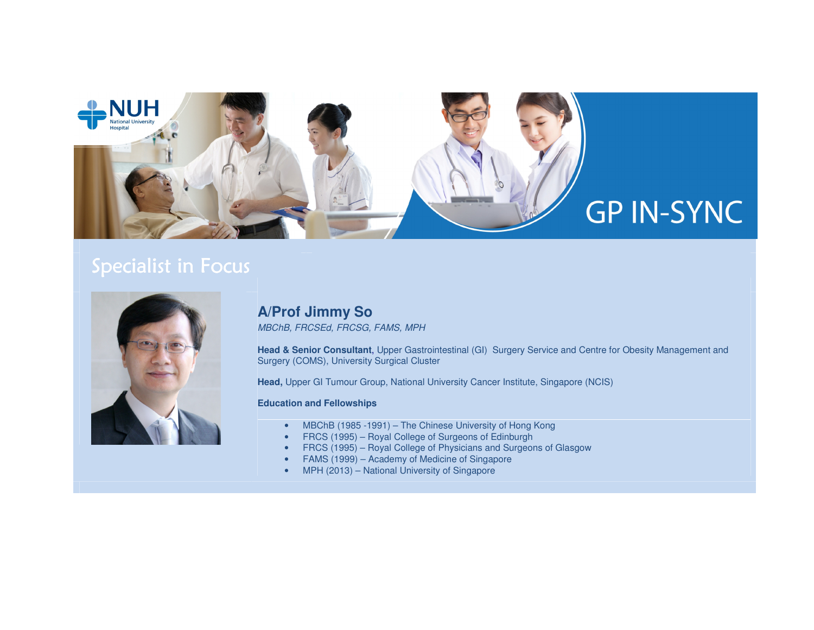

# Specialist in Focus



## **A/Prof Jimmy So**

MBChB, FRCSEd, FRCSG, FAMS, MPH

**Head & Senior Consultant**, Upper Gastrointestinal (GI) Surgery Service and Centre for Obesity Management and Surgery (COMS), University Surgical Cluster

**Head,** Upper GI Tumour Group, National University Cancer Institute, Singapore (NCIS)

#### **Education and Fellowships**

- MBChB (1985 -1991) The Chinese University of Hong Kong
- FRCS (1995) Royal College of Surgeons of Edinburgh
- FRCS (1995) Royal College of Physicians and Surgeons of Glasgow
- FAMS (1999) Academy of Medicine of Singapore
- MPH (2013) National University of Singapore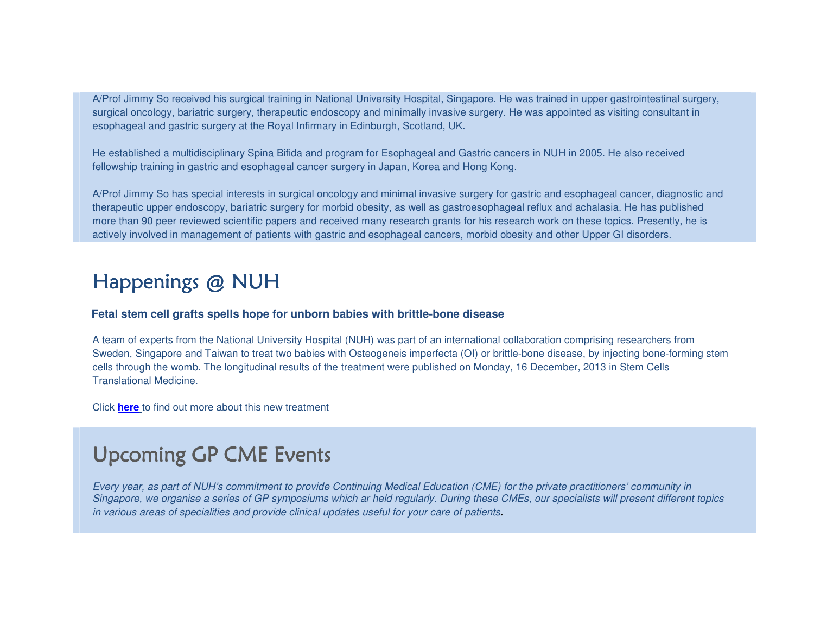A/Prof Jimmy So received his surgical training in National University Hospital, Singapore. He was trained in upper gastrointestinal surgery, surgical oncology, bariatric surgery, therapeutic endoscopy and minimally invasive surgery. He was appointed as visiting consultant in esophageal and gastric surgery at the Royal Infirmary in Edinburgh, Scotland, UK.

He established a multidisciplinary Spina Bifida and program for Esophageal and Gastric cancers in NUH in 2005. He also received fellowship training in gastric and esophageal cancer surgery in Japan, Korea and Hong Kong.

A/Prof Jimmy So has special interests in surgical oncology and minimal invasive surgery for gastric and esophageal cancer, diagnostic and therapeutic upper endoscopy, bariatric surgery for morbid obesity, as well as gastroesophageal reflux and achalasia. He has published more than 90 peer reviewed scientific papers and received many research grants for his research work on these topics. Presently, he is actively involved in management of patients with gastric and esophageal cancers, morbid obesity and other Upper GI disorders.

# Happenings @ NUH

#### **Fetal stem cell grafts spells hope for unborn babies with brittle-bone disease**

A team of experts from the National University Hospital (NUH) was part of an international collaboration comprising researchers from Sweden, Singapore and Taiwan to treat two babies with Osteogeneis imperfecta (OI) or brittle-bone disease, by injecting bone-forming stem cells through the womb. The longitudinal results of the treatment were published on Monday, 16 December, 2013 in Stem Cells Translational Medicine.

Click **here** to find out more about this new treatment

# **Upcoming GP CME Events**

Every year, as part of NUH's commitment to provide Continuing Medical Education (CME) for the private practitioners' community in Singapore, we organise a series of GP symposiums which ar held regularly. During these CMEs, our specialists will present different topics in various areas of specialities and provide clinical updates useful for your care of patients.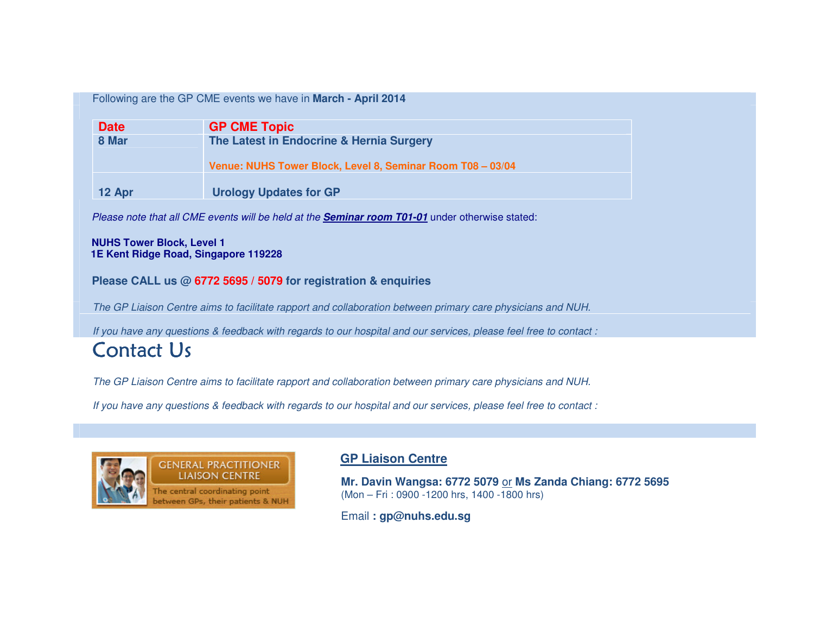### Following are the GP CME events we have in **March - April 2014**

| <b>Date</b> | <b>GP CME Topic</b>                                                                                    |
|-------------|--------------------------------------------------------------------------------------------------------|
| 8 Mar       | The Latest in Endocrine & Hernia Surgery<br>Venue: NUHS Tower Block, Level 8, Seminar Room T08 - 03/04 |
| 12 Apr      | <b>Urology Updates for GP</b>                                                                          |

Please note that all CME events will be held at the **Seminar room T01-01** under otherwise stated:

#### **NUHS Tower Block, Level 1 1E Kent Ridge Road, Singapore 119228**

### **Please CALL us @ 6772 5695 / 5079 for registration & enquiries**

The GP Liaison Centre aims to facilitate rapport and collaboration between primary care physicians and NUH.

If you have any questions & feedback with regards to our hospital and our services, please feel free to contact :

## **Contact Us**

The GP Liaison Centre aims to facilitate rapport and collaboration between primary care physicians and NUH.

If you have any questions & feedback with regards to our hospital and our services, please feel free to contact :



### **GP Liaison Centre**

**Mr. Davin Wangsa: 6772 5079** or **Ms Zanda Chiang: 6772 5695** (Mon – Fri : 0900 -1200 hrs, 1400 -1800 hrs)

Email **: gp@nuhs.edu.sg**